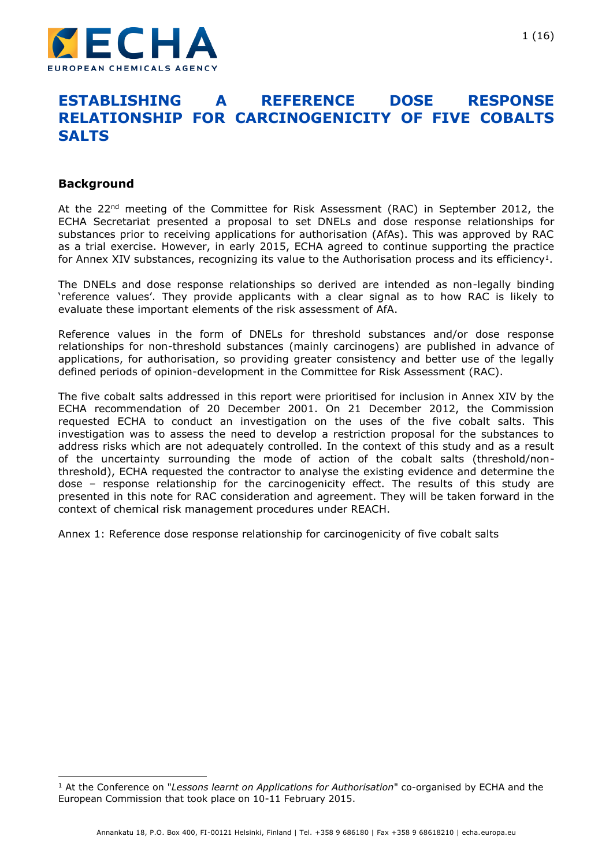

# **ESTABLISHING A REFERENCE DOSE RESPONSE RELATIONSHIP FOR CARCINOGENICITY OF FIVE COBALTS SALTS**

#### **Background**

-

At the 22<sup>nd</sup> meeting of the Committee for Risk Assessment (RAC) in September 2012, the ECHA Secretariat presented a proposal to set DNELs and dose response relationships for substances prior to receiving applications for authorisation (AfAs). This was approved by RAC as a trial exercise. However, in early 2015, ECHA agreed to continue supporting the practice for Annex XIV substances, recognizing its value to the Authorisation process and its efficiency<sup>1</sup>.

The DNELs and dose response relationships so derived are intended as non-legally binding 'reference values'. They provide applicants with a clear signal as to how RAC is likely to evaluate these important elements of the risk assessment of AfA.

Reference values in the form of DNELs for threshold substances and/or dose response relationships for non-threshold substances (mainly carcinogens) are published in advance of applications, for authorisation, so providing greater consistency and better use of the legally defined periods of opinion-development in the Committee for Risk Assessment (RAC).

The five cobalt salts addressed in this report were prioritised for inclusion in Annex XIV by the ECHA recommendation of 20 December 2001. On 21 December 2012, the Commission requested ECHA to conduct an investigation on the uses of the five cobalt salts. This investigation was to assess the need to develop a restriction proposal for the substances to address risks which are not adequately controlled. In the context of this study and as a result of the uncertainty surrounding the mode of action of the cobalt salts (threshold/nonthreshold), ECHA requested the contractor to analyse the existing evidence and determine the dose – response relationship for the carcinogenicity effect. The results of this study are presented in this note for RAC consideration and agreement. They will be taken forward in the context of chemical risk management procedures under REACH.

Annex 1: Reference dose response relationship for carcinogenicity of five cobalt salts

<sup>1</sup> At the Conference on "*Lessons learnt on Applications for Authorisation*" co-organised by ECHA and the European Commission that took place on 10-11 February 2015.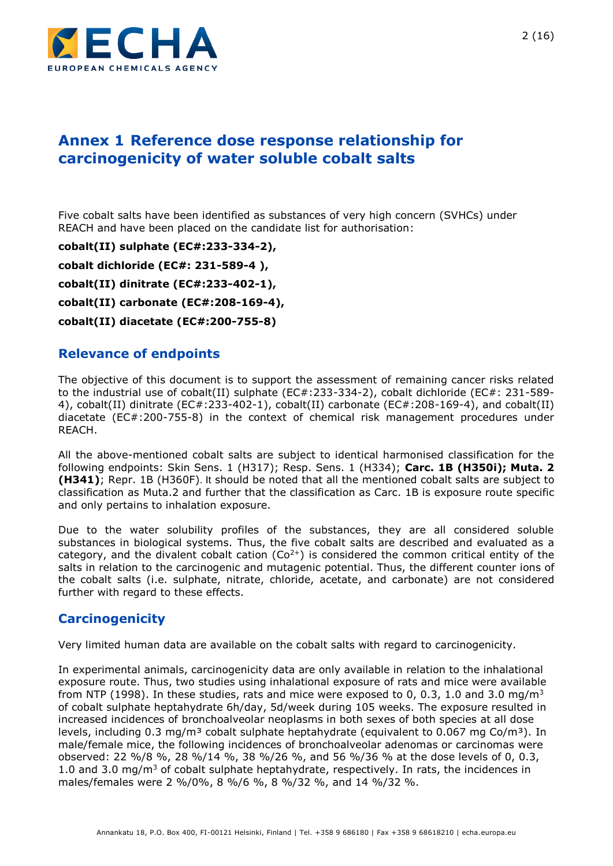

# **Annex 1 Reference dose response relationship for carcinogenicity of water soluble cobalt salts**

Five cobalt salts have been identified as substances of very high concern (SVHCs) under REACH and have been placed on the candidate list for authorisation:

**cobalt(II) sulphate (EC#:233-334-2), cobalt dichloride (EC#: 231-589-4 ), cobalt(II) dinitrate (EC#:233-402-1), cobalt(II) carbonate (EC#:208-169-4), cobalt(II) diacetate (EC#:200-755-8)** 

## **Relevance of endpoints**

The objective of this document is to support the assessment of remaining cancer risks related to the industrial use of cobalt(II) sulphate (EC#:233-334-2), cobalt dichloride (EC#: 231-589- 4), cobalt(II) dinitrate (EC#:233-402-1), cobalt(II) carbonate (EC#:208-169-4), and cobalt(II) diacetate (EC#:200-755-8) in the context of chemical risk management procedures under REACH.

All the above-mentioned cobalt salts are subject to identical harmonised classification for the following endpoints: Skin Sens. 1 (H317); Resp. Sens. 1 (H334); **Carc. 1B (H350i); Muta. 2 (H341)**; Repr. 1B (H360F). It should be noted that all the mentioned cobalt salts are subject to classification as Muta.2 and further that the classification as Carc. 1B is exposure route specific and only pertains to inhalation exposure.

Due to the water solubility profiles of the substances, they are all considered soluble substances in biological systems. Thus, the five cobalt salts are described and evaluated as a category, and the divalent cobalt cation ( $Co<sup>2+</sup>$ ) is considered the common critical entity of the salts in relation to the carcinogenic and mutagenic potential. Thus, the different counter ions of the cobalt salts (i.e. sulphate, nitrate, chloride, acetate, and carbonate) are not considered further with regard to these effects.

## **Carcinogenicity**

Very limited human data are available on the cobalt salts with regard to carcinogenicity.

In experimental animals, carcinogenicity data are only available in relation to the inhalational exposure route. Thus, two studies using inhalational exposure of rats and mice were available from NTP (1998). In these studies, rats and mice were exposed to 0, 0.3, 1.0 and 3.0 mg/m<sup>3</sup> of cobalt sulphate heptahydrate 6h/day, 5d/week during 105 weeks. The exposure resulted in increased incidences of bronchoalveolar neoplasms in both sexes of both species at all dose levels, including 0.3 mg/m<sup>3</sup> cobalt sulphate heptahydrate (equivalent to 0.067 mg Co/m<sup>3</sup>). In male/female mice, the following incidences of bronchoalveolar adenomas or carcinomas were observed: 22 %/8 %, 28 %/14 %, 38 %/26 %, and 56 %/36 % at the dose levels of 0, 0.3, 1.0 and 3.0 mg/m<sup>3</sup> of cobalt sulphate heptahydrate, respectively. In rats, the incidences in males/females were 2 %/0%, 8 %/6 %, 8 %/32 %, and 14 %/32 %.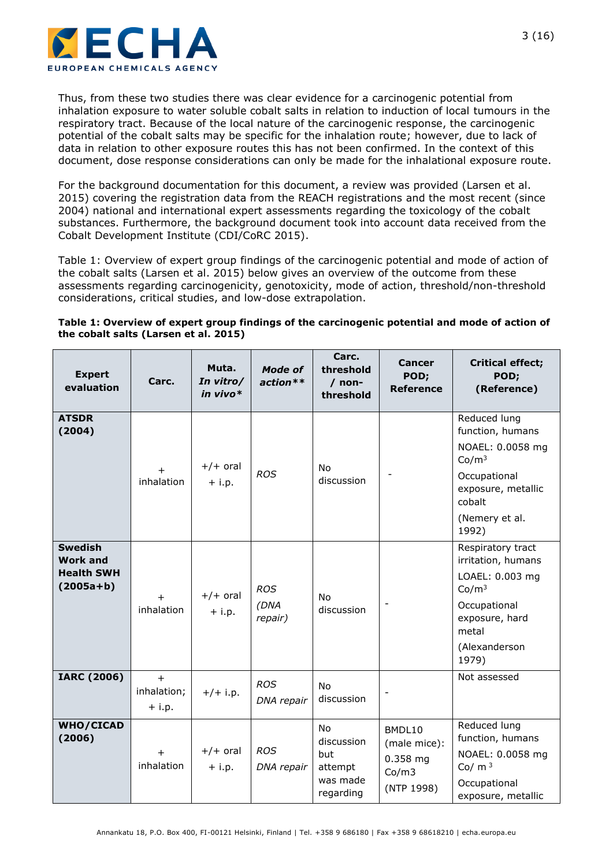

Thus, from these two studies there was clear evidence for a carcinogenic potential from inhalation exposure to water soluble cobalt salts in relation to induction of local tumours in the respiratory tract. Because of the local nature of the carcinogenic response, the carcinogenic potential of the cobalt salts may be specific for the inhalation route; however, due to lack of data in relation to other exposure routes this has not been confirmed. In the context of this document, dose response considerations can only be made for the inhalational exposure route.

For the background documentation for this document, a review was provided (Larsen et al. 2015) covering the registration data from the REACH registrations and the most recent (since 2004) national and international expert assessments regarding the toxicology of the cobalt substances. Furthermore, the background document took into account data received from the Cobalt Development Institute (CDI/CoRC 2015).

Table 1: Overview of expert group findings of [the carcinogenic potential and mode of action of](#page-2-0)  [the cobalt salts \(Larsen et al.](#page-2-0) 2015) below gives an overview of the outcome from these assessments regarding carcinogenicity, genotoxicity, mode of action, threshold/non-threshold considerations, critical studies, and low-dose extrapolation.

<span id="page-2-0"></span>**Table 1: Overview of expert group findings of the carcinogenic potential and mode of action of the cobalt salts (Larsen et al. 2015)**

| <b>Expert</b><br>evaluation                                             | Carc.                          | Muta.<br>In vitro/<br>in vivo $*$ | <b>Mode of</b><br>$action**$  | Carc.<br>threshold<br>$/$ non-<br>threshold                        | <b>Cancer</b><br>POD;<br><b>Reference</b>                   | <b>Critical effect;</b><br>POD;<br>(Reference)                                                                                                       |
|-------------------------------------------------------------------------|--------------------------------|-----------------------------------|-------------------------------|--------------------------------------------------------------------|-------------------------------------------------------------|------------------------------------------------------------------------------------------------------------------------------------------------------|
| <b>ATSDR</b><br>(2004)                                                  | inhalation                     | $+/+$ oral<br>$+$ i.p.            | <b>ROS</b>                    | <b>No</b><br>discussion                                            |                                                             | Reduced lung<br>function, humans<br>NOAEL: 0.0058 mg<br>Co/m <sup>3</sup><br>Occupational<br>exposure, metallic<br>cobalt<br>(Nemery et al.<br>1992) |
| <b>Swedish</b><br><b>Work and</b><br><b>Health SWH</b><br>$(2005a + b)$ | $+$<br>inhalation              | $+/+$ oral<br>$+$ i.p.            | <b>ROS</b><br>(DNA<br>repair) | <b>No</b><br>discussion                                            |                                                             | Respiratory tract<br>irritation, humans<br>LOAEL: 0.003 mg<br>Co/m <sup>3</sup><br>Occupational<br>exposure, hard<br>metal<br>(Alexanderson<br>1979) |
| <b>IARC (2006)</b>                                                      | $+$<br>inhalation;<br>$+$ i.p. | $+/+i.p.$                         | <b>ROS</b><br>DNA repair      | <b>No</b><br>discussion                                            |                                                             | Not assessed                                                                                                                                         |
| WHO/CICAD<br>(2006)                                                     | $+$<br>inhalation              | $+/+$ oral<br>$+$ i.p.            | <b>ROS</b><br>DNA repair      | <b>No</b><br>discussion<br>but<br>attempt<br>was made<br>regarding | BMDL10<br>(male mice):<br>$0.358$ mg<br>Co/m3<br>(NTP 1998) | Reduced lung<br>function, humans<br>NOAEL: 0.0058 mg<br>Co/ $m3$<br>Occupational<br>exposure, metallic                                               |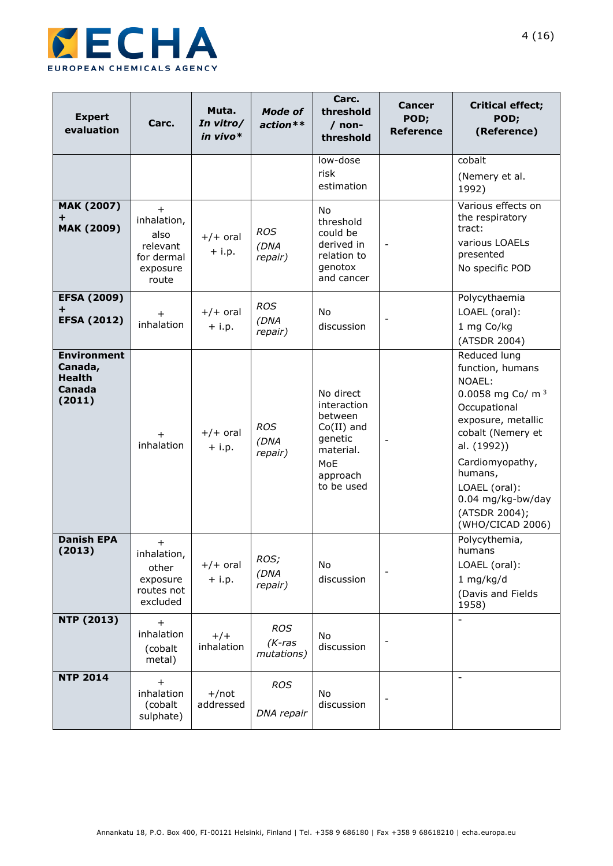

| <b>Expert</b><br>evaluation                                        | Carc.                                                                     | Muta.<br>In vitro/<br>in vivo* | <b>Mode of</b><br>$action**$          | Carc.<br>threshold<br>$/$ non-<br>threshold                                                                  | <b>Cancer</b><br>POD;<br><b>Reference</b> | <b>Critical effect;</b><br>POD;<br>(Reference)                                                                                                                                                                                                                |
|--------------------------------------------------------------------|---------------------------------------------------------------------------|--------------------------------|---------------------------------------|--------------------------------------------------------------------------------------------------------------|-------------------------------------------|---------------------------------------------------------------------------------------------------------------------------------------------------------------------------------------------------------------------------------------------------------------|
|                                                                    |                                                                           |                                |                                       | low-dose<br>risk<br>estimation                                                                               |                                           | cobalt<br>(Nemery et al.<br>1992)                                                                                                                                                                                                                             |
| <b>MAK (2007)</b><br>÷<br><b>MAK (2009)</b>                        | $+$<br>inhalation,<br>also<br>relevant<br>for dermal<br>exposure<br>route | $+/+$ oral<br>$+$ i.p.         | <b>ROS</b><br>(DNA<br>repair)         | No<br>threshold<br>could be<br>derived in<br>relation to<br>genotox<br>and cancer                            | $\overline{\phantom{a}}$                  | Various effects on<br>the respiratory<br>tract:<br>various LOAELs<br>presented<br>No specific POD                                                                                                                                                             |
| <b>EFSA (2009)</b><br>+<br><b>EFSA (2012)</b>                      | $+$<br>inhalation                                                         | $+/+$ oral<br>$+$ i.p.         | <b>ROS</b><br>(DNA<br>repair)         | No<br>discussion                                                                                             |                                           | Polycythaemia<br>LOAEL (oral):<br>1 mg Co/kg<br>(ATSDR 2004)                                                                                                                                                                                                  |
| <b>Environment</b><br>Canada,<br><b>Health</b><br>Canada<br>(2011) | inhalation                                                                | $+/+$ oral<br>$+$ i.p.         | <b>ROS</b><br>(DNA<br>repair)         | No direct<br>interaction<br>between<br>$Co(II)$ and<br>genetic<br>material.<br>MoE<br>approach<br>to be used |                                           | Reduced lung<br>function, humans<br>NOAEL:<br>0.0058 mg Co/ m <sup>3</sup><br>Occupational<br>exposure, metallic<br>cobalt (Nemery et<br>al. (1992))<br>Cardiomyopathy,<br>humans,<br>LOAEL (oral):<br>0.04 mg/kg-bw/day<br>(ATSDR 2004);<br>(WHO/CICAD 2006) |
| <b>Danish EPA</b><br>(2013)                                        | $\pm$<br>inhalation,<br>other<br>exposure<br>routes not<br>excluded       | $+/+$ oral<br>$+$ i.p.         | ROS;<br>(DNA<br>repair)               | No<br>discussion                                                                                             |                                           | Polycythemia,<br>humans<br>LOAEL (oral):<br>1 mg/kg/d<br>(Davis and Fields<br>1958)                                                                                                                                                                           |
| <b>NTP (2013)</b>                                                  | $+$<br>inhalation<br>(cobalt<br>metal)                                    | $+/+$<br>inhalation            | <b>ROS</b><br>$(K$ -ras<br>mutations) | No<br>discussion                                                                                             |                                           | $\overline{\phantom{a}}$                                                                                                                                                                                                                                      |
| <b>NTP 2014</b>                                                    | $\overline{+}$<br>inhalation<br>(cobalt<br>sulphate)                      | $+/not$<br>addressed           | <b>ROS</b><br>DNA repair              | <b>No</b><br>discussion                                                                                      |                                           | $\overline{\phantom{a}}$                                                                                                                                                                                                                                      |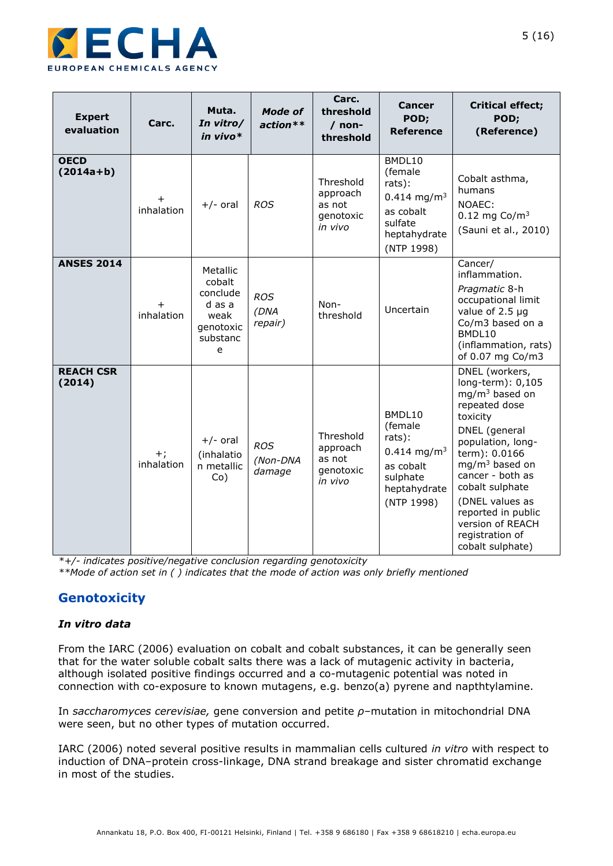

| <b>Expert</b><br>evaluation | Carc.              | Muta.<br>In vitro/<br>in vivo $*$                                              | <b>Mode of</b><br>$action**$     | Carc.<br>threshold<br>$/$ non-<br>threshold             | <b>Cancer</b><br>POD;<br><b>Reference</b>                                                                       | <b>Critical effect;</b><br>POD;<br>(Reference)                                                                                                                                                                                                                                                             |
|-----------------------------|--------------------|--------------------------------------------------------------------------------|----------------------------------|---------------------------------------------------------|-----------------------------------------------------------------------------------------------------------------|------------------------------------------------------------------------------------------------------------------------------------------------------------------------------------------------------------------------------------------------------------------------------------------------------------|
| <b>OECD</b><br>$(2014a+b)$  | inhalation         | $+/-$ oral                                                                     | <b>ROS</b>                       | Threshold<br>approach<br>as not<br>genotoxic<br>in vivo | BMDL10<br>(female<br>rats):<br>$0.414$ mg/m <sup>3</sup><br>as cobalt<br>sulfate<br>heptahydrate<br>(NTP 1998)  | Cobalt asthma,<br>humans<br>NOAEC:<br>$0.12 \, \text{mg} \, \text{Co} / \text{m}^3$<br>(Sauni et al., 2010)                                                                                                                                                                                                |
| <b>ANSES 2014</b>           | inhalation         | Metallic<br>cobalt<br>conclude<br>d as a<br>weak<br>genotoxic<br>substanc<br>e | <b>ROS</b><br>(DNA<br>repair)    | Non-<br>threshold                                       | Uncertain                                                                                                       | Cancer/<br>inflammation.<br>Pragmatic 8-h<br>occupational limit<br>value of 2.5 µg<br>Co/m3 based on a<br>BMDL10<br>(inflammation, rats)<br>of 0.07 mg Co/m3                                                                                                                                               |
| <b>REACH CSR</b><br>(2014)  | $+;$<br>inhalation | $+/-$ oral<br>(inhalatio<br>n metallic<br>Co)                                  | <b>ROS</b><br>(Non-DNA<br>damage | Threshold<br>approach<br>as not<br>genotoxic<br>in vivo | BMDL10<br>(female<br>rats):<br>$0.414$ mg/m <sup>3</sup><br>as cobalt<br>sulphate<br>heptahydrate<br>(NTP 1998) | DNEL (workers,<br>long-term): 0,105<br>$mq/m3$ based on<br>repeated dose<br>toxicity<br>DNEL (general<br>population, long-<br>term): 0.0166<br>$mg/m3$ based on<br>cancer - both as<br>cobalt sulphate<br>(DNEL values as<br>reported in public<br>version of REACH<br>registration of<br>cobalt sulphate) |

*\*+/- indicates positive/negative conclusion regarding genotoxicity \*\*Mode of action set in ( ) indicates that the mode of action was only briefly mentioned*

## **Genotoxicity**

#### *In vitro data*

From the IARC (2006) evaluation on cobalt and cobalt substances, it can be generally seen that for the water soluble cobalt salts there was a lack of mutagenic activity in bacteria, although isolated positive findings occurred and a co-mutagenic potential was noted in connection with co-exposure to known mutagens, e.g. benzo(a) pyrene and napthtylamine.

In *saccharomyces cerevisiae,* gene conversion and petite *ρ*–mutation in mitochondrial DNA were seen, but no other types of mutation occurred.

IARC (2006) noted several positive results in mammalian cells cultured *in vitro* with respect to induction of DNA–protein cross-linkage, DNA strand breakage and sister chromatid exchange in most of the studies.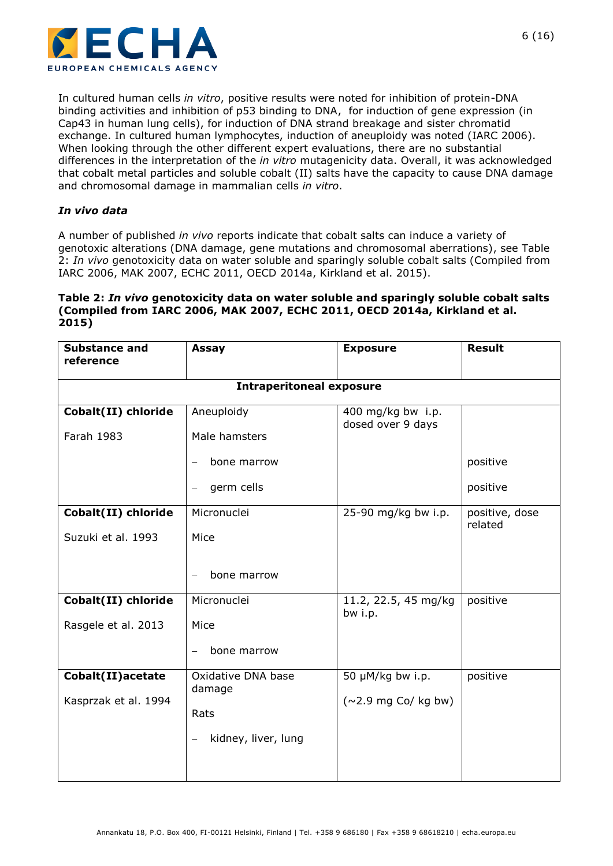

In cultured human cells *in vitro*, positive results were noted for inhibition of protein-DNA binding activities and inhibition of p53 binding to DNA, for induction of gene expression (in Cap43 in human lung cells), for induction of DNA strand breakage and sister chromatid exchange. In cultured human lymphocytes, induction of aneuploidy was noted (IARC 2006). When looking through the other different expert evaluations, there are no substantial differences in the interpretation of the *in vitro* mutagenicity data. Overall, it was acknowledged that cobalt metal particles and soluble cobalt (II) salts have the capacity to cause DNA damage and chromosomal damage in mammalian cells *in vitro*.

#### *In vivo data*

A number of published *in vivo* reports indicate that cobalt salts can induce a variety of genotoxic alterations (DNA damage, gene mutations and chromosomal aberrations), see [Table](#page-5-0)  2: *In vivo* [genotoxicity data on water soluble and sparingly soluble cobalt salts \(Compiled from](#page-5-0)  IARC 2006, MAK 2007, [ECHC 2011, OECD 2014a, Kirkland et al. 2015\).](#page-5-0)

#### <span id="page-5-0"></span>**Table 2:** *In vivo* **genotoxicity data on water soluble and sparingly soluble cobalt salts (Compiled from IARC 2006, MAK 2007, ECHC 2011, OECD 2014a, Kirkland et al. 2015)**

| <b>Substance and</b><br>reference          | Assay                                                                            | <b>Exposure</b>                               | <b>Result</b>             |  |  |  |
|--------------------------------------------|----------------------------------------------------------------------------------|-----------------------------------------------|---------------------------|--|--|--|
|                                            | <b>Intraperitoneal exposure</b>                                                  |                                               |                           |  |  |  |
| Cobalt(II) chloride<br>Farah 1983          | Aneuploidy<br>Male hamsters                                                      | 400 mg/kg bw i.p.<br>dosed over 9 days        |                           |  |  |  |
|                                            | bone marrow<br>$\overline{\phantom{0}}$<br>germ cells<br>$\qquad \qquad -$       |                                               | positive<br>positive      |  |  |  |
| Cobalt(II) chloride<br>Suzuki et al. 1993  | Micronuclei<br>Mice                                                              | 25-90 mg/kg bw i.p.                           | positive, dose<br>related |  |  |  |
|                                            | bone marrow<br>$\overline{\phantom{0}}$                                          |                                               |                           |  |  |  |
| Cobalt(II) chloride<br>Rasgele et al. 2013 | Micronuclei<br>Mice<br>bone marrow<br>$\overline{\phantom{0}}$                   | 11.2, 22.5, 45 mg/kg<br>bw i.p.               | positive                  |  |  |  |
| Cobalt(II) acetate<br>Kasprzak et al. 1994 | Oxidative DNA base<br>damage<br>Rats<br>kidney, liver, lung<br>$\qquad \qquad -$ | 50 µM/kg bw i.p.<br>$(\sim$ 2.9 mg Co/ kg bw) | positive                  |  |  |  |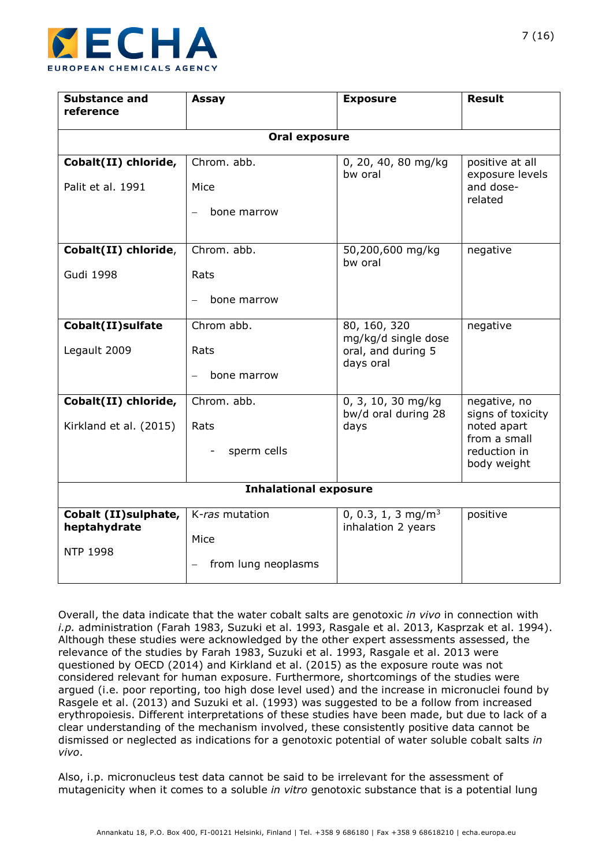

| <b>Substance and</b><br>reference     | Assay                                   | <b>Exposure</b>                                      | <b>Result</b>                      |  |  |  |
|---------------------------------------|-----------------------------------------|------------------------------------------------------|------------------------------------|--|--|--|
|                                       |                                         |                                                      |                                    |  |  |  |
|                                       | <b>Oral exposure</b>                    |                                                      |                                    |  |  |  |
| Cobalt(II) chloride,                  | Chrom. abb.                             | 0, 20, 40, 80 mg/kg<br>bw oral                       | positive at all<br>exposure levels |  |  |  |
| Palit et al. 1991                     | Mice                                    |                                                      | and dose-<br>related               |  |  |  |
|                                       | bone marrow<br>$\overline{\phantom{0}}$ |                                                      |                                    |  |  |  |
| Cobalt(II) chloride,                  | Chrom. abb.                             |                                                      | negative                           |  |  |  |
| <b>Gudi 1998</b>                      | Rats                                    |                                                      |                                    |  |  |  |
|                                       | bone marrow                             |                                                      |                                    |  |  |  |
| Cobalt(II) sulfate                    | Chrom abb.                              | 80, 160, 320<br>negative<br>mg/kg/d single dose      |                                    |  |  |  |
| Legault 2009                          | Rats                                    | oral, and during 5<br>days oral                      |                                    |  |  |  |
|                                       | bone marrow                             |                                                      |                                    |  |  |  |
| Cobalt(II) chloride,                  | Chrom. abb.                             | 0, 3, 10, 30 mg/kg<br>bw/d oral during 28            | negative, no<br>signs of toxicity  |  |  |  |
| Kirkland et al. (2015)                | Rats                                    | days                                                 | noted apart<br>from a small        |  |  |  |
|                                       | sperm cells                             |                                                      | reduction in<br>body weight        |  |  |  |
| <b>Inhalational exposure</b>          |                                         |                                                      |                                    |  |  |  |
| Cobalt (II) sulphate,<br>heptahydrate | K-ras mutation                          | 0, 0.3, 1, 3 mg/m <sup>3</sup><br>inhalation 2 years | positive                           |  |  |  |
| <b>NTP 1998</b>                       | Mice                                    |                                                      |                                    |  |  |  |
|                                       | from lung neoplasms                     |                                                      |                                    |  |  |  |

Overall, the data indicate that the water cobalt salts are genotoxic *in vivo* in connection with *i.p.* administration (Farah 1983, Suzuki et al. 1993, Rasgale et al. 2013, Kasprzak et al. 1994). Although these studies were acknowledged by the other expert assessments assessed, the relevance of the studies by Farah 1983, Suzuki et al. 1993, Rasgale et al. 2013 were questioned by OECD (2014) and Kirkland et al. (2015) as the exposure route was not considered relevant for human exposure. Furthermore, shortcomings of the studies were argued (i.e. poor reporting, too high dose level used) and the increase in micronuclei found by Rasgele et al. (2013) and Suzuki et al. (1993) was suggested to be a follow from increased erythropoiesis. Different interpretations of these studies have been made, but due to lack of a clear understanding of the mechanism involved, these consistently positive data cannot be dismissed or neglected as indications for a genotoxic potential of water soluble cobalt salts *in vivo*.

Also, i.p. micronucleus test data cannot be said to be irrelevant for the assessment of mutagenicity when it comes to a soluble *in vitro* genotoxic substance that is a potential lung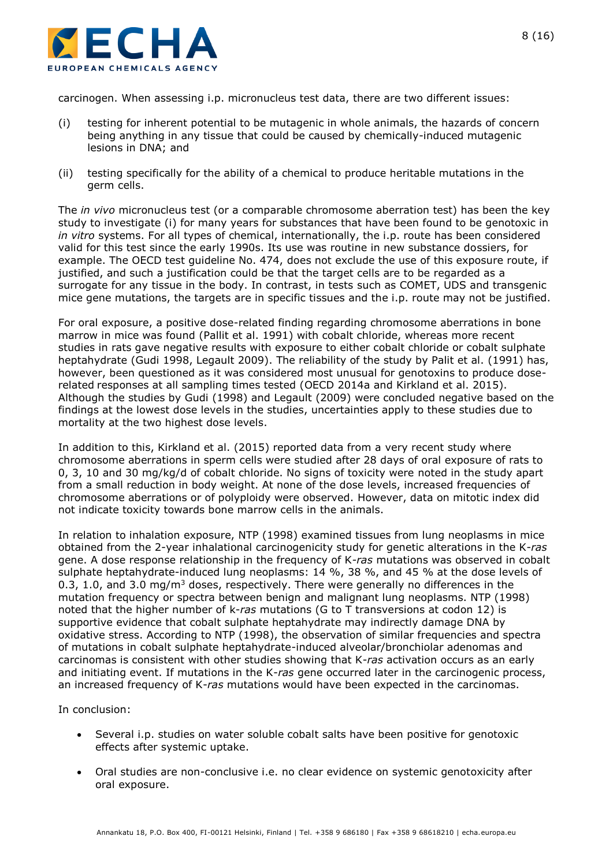

carcinogen. When assessing i.p. micronucleus test data, there are two different issues:

- (i) testing for inherent potential to be mutagenic in whole animals, the hazards of concern being anything in any tissue that could be caused by chemically-induced mutagenic lesions in DNA; and
- (ii) testing specifically for the ability of a chemical to produce heritable mutations in the germ cells.

The *in vivo* micronucleus test (or a comparable chromosome aberration test) has been the key study to investigate (i) for many years for substances that have been found to be genotoxic in *in vitro* systems. For all types of chemical, internationally, the i.p. route has been considered valid for this test since the early 1990s. Its use was routine in new substance dossiers, for example. The OECD test guideline No. 474, does not exclude the use of this exposure route, if justified, and such a justification could be that the target cells are to be regarded as a surrogate for any tissue in the body. In contrast, in tests such as COMET, UDS and transgenic mice gene mutations, the targets are in specific tissues and the i.p. route may not be justified.

For oral exposure, a positive dose-related finding regarding chromosome aberrations in bone marrow in mice was found (Pallit et al. 1991) with cobalt chloride, whereas more recent studies in rats gave negative results with exposure to either cobalt chloride or cobalt sulphate heptahydrate (Gudi 1998, Legault 2009). The reliability of the study by Palit et al. (1991) has, however, been questioned as it was considered most unusual for genotoxins to produce doserelated responses at all sampling times tested (OECD 2014a and Kirkland et al. 2015). Although the studies by Gudi (1998) and Legault (2009) were concluded negative based on the findings at the lowest dose levels in the studies, uncertainties apply to these studies due to mortality at the two highest dose levels.

In addition to this, Kirkland et al. (2015) reported data from a very recent study where chromosome aberrations in sperm cells were studied after 28 days of oral exposure of rats to 0, 3, 10 and 30 mg/kg/d of cobalt chloride. No signs of toxicity were noted in the study apart from a small reduction in body weight. At none of the dose levels, increased frequencies of chromosome aberrations or of polyploidy were observed. However, data on mitotic index did not indicate toxicity towards bone marrow cells in the animals.

In relation to inhalation exposure, NTP (1998) examined tissues from lung neoplasms in mice obtained from the 2-year inhalational carcinogenicity study for genetic alterations in the K-*ras*  gene. A dose response relationship in the frequency of K*-ras* mutations was observed in cobalt sulphate heptahydrate-induced lung neoplasms: 14 %, 38 %, and 45 % at the dose levels of 0.3, 1.0, and 3.0 mg/m<sup>3</sup> doses, respectively. There were generally no differences in the mutation frequency or spectra between benign and malignant lung neoplasms. NTP (1998) noted that the higher number of k-*ras* mutations (G to T transversions at codon 12) is supportive evidence that cobalt sulphate heptahydrate may indirectly damage DNA by oxidative stress. According to NTP (1998), the observation of similar frequencies and spectra of mutations in cobalt sulphate heptahydrate-induced alveolar/bronchiolar adenomas and carcinomas is consistent with other studies showing that K-*ras* activation occurs as an early and initiating event. If mutations in the K-*ras* gene occurred later in the carcinogenic process, an increased frequency of K-*ras* mutations would have been expected in the carcinomas.

In conclusion:

- Several i.p. studies on water soluble cobalt salts have been positive for genotoxic effects after systemic uptake.
- Oral studies are non-conclusive i.e. no clear evidence on systemic genotoxicity after oral exposure.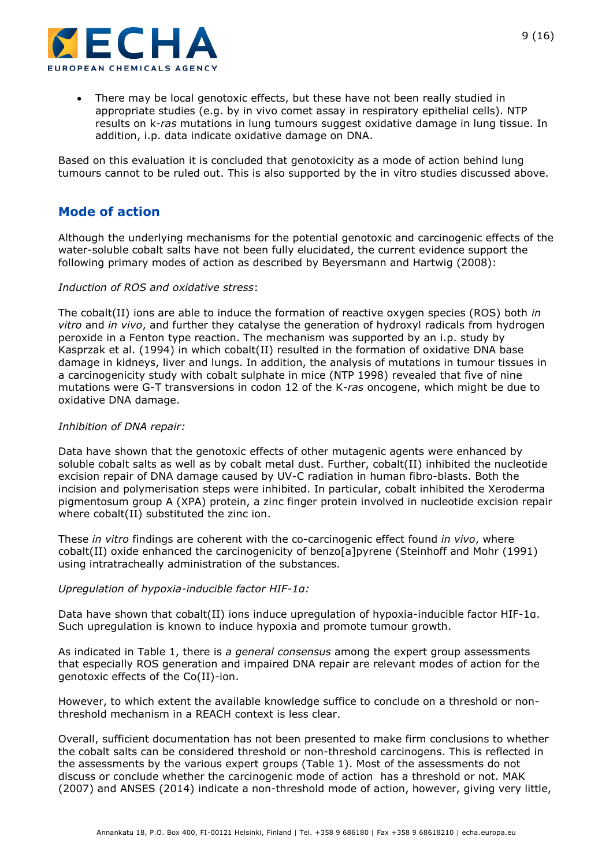

 There may be local genotoxic effects, but these have not been really studied in appropriate studies (e.g. by in vivo comet assay in respiratory epithelial cells). NTP results on k-*ras* mutations in lung tumours suggest oxidative damage in lung tissue. In addition, i.p. data indicate oxidative damage on DNA.

Based on this evaluation it is concluded that genotoxicity as a mode of action behind lung tumours cannot to be ruled out. This is also supported by the in vitro studies discussed above.

## **Mode of action**

Although the underlying mechanisms for the potential genotoxic and carcinogenic effects of the water-soluble cobalt salts have not been fully elucidated, the current evidence support the following primary modes of action as described by Beyersmann and Hartwig (2008):

#### *Induction of ROS and oxidative stress*:

The cobalt(II) ions are able to induce the formation of reactive oxygen species (ROS) both *in vitro* and *in vivo*, and further they catalyse the generation of hydroxyl radicals from hydrogen peroxide in a Fenton type reaction. The mechanism was supported by an i.p. study by Kasprzak et al. (1994) in which cobalt(II) resulted in the formation of oxidative DNA base damage in kidneys, liver and lungs. In addition, the analysis of mutations in tumour tissues in a carcinogenicity study with cobalt sulphate in mice (NTP 1998) revealed that five of nine mutations were G-T transversions in codon 12 of the K-*ras* oncogene, which might be due to oxidative DNA damage.

#### *Inhibition of DNA repair:*

Data have shown that the genotoxic effects of other mutagenic agents were enhanced by soluble cobalt salts as well as by cobalt metal dust. Further, cobalt(II) inhibited the nucleotide excision repair of DNA damage caused by UV-C radiation in human fibro-blasts. Both the incision and polymerisation steps were inhibited. In particular, cobalt inhibited the Xeroderma pigmentosum group A (XPA) protein, a zinc finger protein involved in nucleotide excision repair where cobalt(II) substituted the zinc ion.

These *in vitro* findings are coherent with the co-carcinogenic effect found *in vivo*, where cobalt(II) oxide enhanced the carcinogenicity of benzo[a]pyrene (Steinhoff and Mohr (1991) using intratracheally administration of the substances.

#### *Upregulation of hypoxia-inducible factor HIF-1α:*

Data have shown that cobalt(II) ions induce upregulation of hypoxia-inducible factor HIF-1α. Such upregulation is known to induce hypoxia and promote tumour growth.

As indicated in Table 1, there is *a general consensus* among the expert group assessments that especially ROS generation and impaired DNA repair are relevant modes of action for the genotoxic effects of the Co(II)-ion.

However, to which extent the available knowledge suffice to conclude on a threshold or nonthreshold mechanism in a REACH context is less clear.

Overall, sufficient documentation has not been presented to make firm conclusions to whether the cobalt salts can be considered threshold or non-threshold carcinogens. This is reflected in the assessments by the various expert groups (Table 1). Most of the assessments do not discuss or conclude whether the carcinogenic mode of action has a threshold or not. MAK (2007) and ANSES (2014) indicate a non-threshold mode of action, however, giving very little,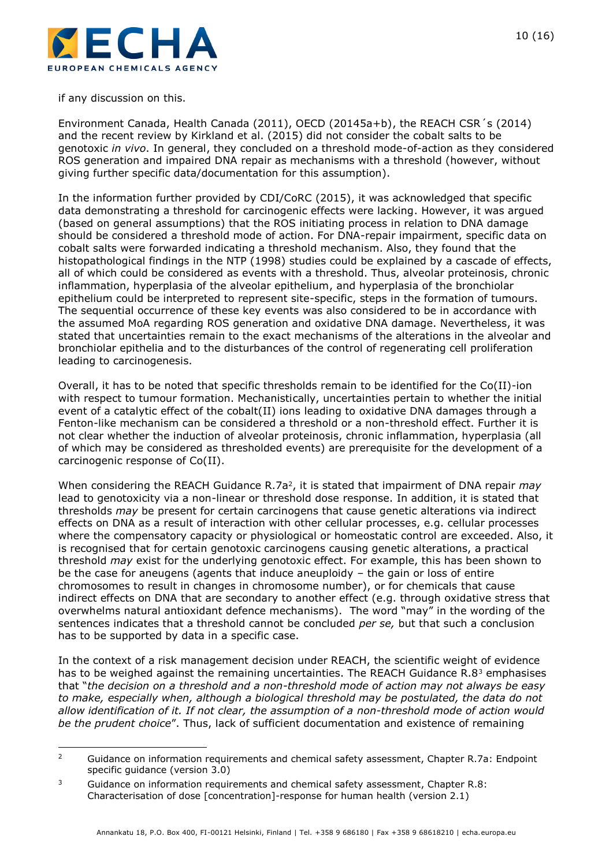

if any discussion on this.

-

Environment Canada, Health Canada (2011), OECD (20145a+b), the REACH CSR´s (2014) and the recent review by Kirkland et al. (2015) did not consider the cobalt salts to be genotoxic *in vivo*. In general, they concluded on a threshold mode-of-action as they considered ROS generation and impaired DNA repair as mechanisms with a threshold (however, without giving further specific data/documentation for this assumption).

In the information further provided by CDI/CoRC (2015), it was acknowledged that specific data demonstrating a threshold for carcinogenic effects were lacking. However, it was argued (based on general assumptions) that the ROS initiating process in relation to DNA damage should be considered a threshold mode of action. For DNA-repair impairment, specific data on cobalt salts were forwarded indicating a threshold mechanism. Also, they found that the histopathological findings in the NTP (1998) studies could be explained by a cascade of effects, all of which could be considered as events with a threshold. Thus, alveolar proteinosis, chronic inflammation, hyperplasia of the alveolar epithelium, and hyperplasia of the bronchiolar epithelium could be interpreted to represent site-specific, steps in the formation of tumours. The sequential occurrence of these key events was also considered to be in accordance with the assumed MoA regarding ROS generation and oxidative DNA damage. Nevertheless, it was stated that uncertainties remain to the exact mechanisms of the alterations in the alveolar and bronchiolar epithelia and to the disturbances of the control of regenerating cell proliferation leading to carcinogenesis.

Overall, it has to be noted that specific thresholds remain to be identified for the Co(II)-ion with respect to tumour formation. Mechanistically, uncertainties pertain to whether the initial event of a catalytic effect of the cobalt(II) ions leading to oxidative DNA damages through a Fenton-like mechanism can be considered a threshold or a non-threshold effect. Further it is not clear whether the induction of alveolar proteinosis, chronic inflammation, hyperplasia (all of which may be considered as thresholded events) are prerequisite for the development of a carcinogenic response of Co(II).

When considering the REACH Guidance R.7a<sup>2</sup>, it is stated that impairment of DNA repair *may* lead to genotoxicity via a non-linear or threshold dose response. In addition, it is stated that thresholds *may* be present for certain carcinogens that cause genetic alterations via indirect effects on DNA as a result of interaction with other cellular processes, e.g. cellular processes where the compensatory capacity or physiological or homeostatic control are exceeded. Also, it is recognised that for certain genotoxic carcinogens causing genetic alterations, a practical threshold *may* exist for the underlying genotoxic effect. For example, this has been shown to be the case for aneugens (agents that induce aneuploidy – the gain or loss of entire chromosomes to result in changes in chromosome number), or for chemicals that cause indirect effects on DNA that are secondary to another effect (e.g. through oxidative stress that overwhelms natural antioxidant defence mechanisms). The word "may" in the wording of the sentences indicates that a threshold cannot be concluded *per se,* but that such a conclusion has to be supported by data in a specific case.

In the context of a risk management decision under REACH, the scientific weight of evidence has to be weighed against the remaining uncertainties. The REACH Guidance  $R.8<sup>3</sup>$  emphasises that "*the decision on a threshold and a non-threshold mode of action may not always be easy to make, especially when, although a biological threshold may be postulated, the data do not allow identification of it. If not clear, the assumption of a non-threshold mode of action would be the prudent choice*". Thus, lack of sufficient documentation and existence of remaining

<sup>&</sup>lt;sup>2</sup> Guidance on information requirements and chemical safety assessment, Chapter R.7a: Endpoint specific guidance (version 3.0)

 $3$  Guidance on information requirements and chemical safety assessment, Chapter R.8: Characterisation of dose [concentration]-response for human health (version 2.1)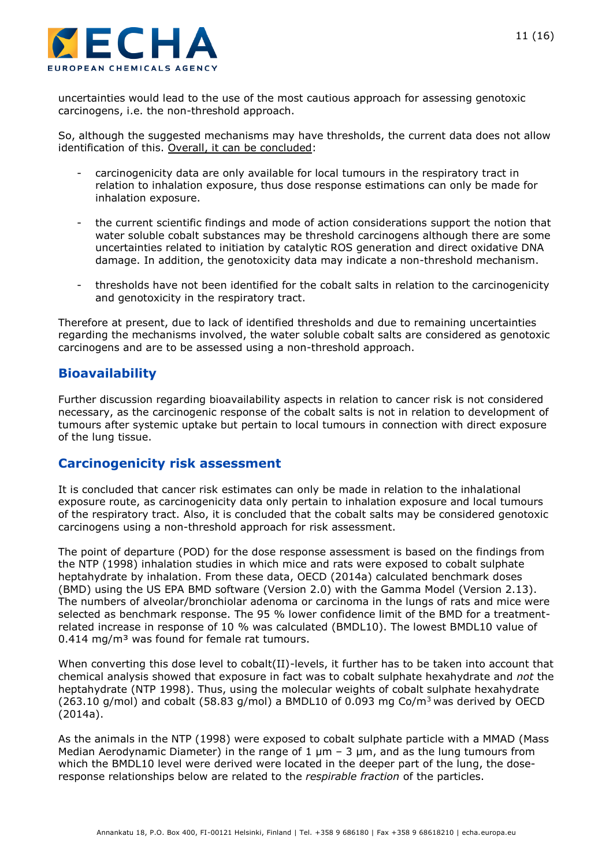

uncertainties would lead to the use of the most cautious approach for assessing genotoxic carcinogens, i.e. the non-threshold approach.

So, although the suggested mechanisms may have thresholds, the current data does not allow identification of this. Overall, it can be concluded:

- carcinogenicity data are only available for local tumours in the respiratory tract in relation to inhalation exposure, thus dose response estimations can only be made for inhalation exposure.
- the current scientific findings and mode of action considerations support the notion that water soluble cobalt substances may be threshold carcinogens although there are some uncertainties related to initiation by catalytic ROS generation and direct oxidative DNA damage. In addition, the genotoxicity data may indicate a non-threshold mechanism.
- thresholds have not been identified for the cobalt salts in relation to the carcinogenicity and genotoxicity in the respiratory tract.

Therefore at present, due to lack of identified thresholds and due to remaining uncertainties regarding the mechanisms involved, the water soluble cobalt salts are considered as genotoxic carcinogens and are to be assessed using a non-threshold approach.

## **Bioavailability**

Further discussion regarding bioavailability aspects in relation to cancer risk is not considered necessary, as the carcinogenic response of the cobalt salts is not in relation to development of tumours after systemic uptake but pertain to local tumours in connection with direct exposure of the lung tissue.

#### **Carcinogenicity risk assessment**

It is concluded that cancer risk estimates can only be made in relation to the inhalational exposure route, as carcinogenicity data only pertain to inhalation exposure and local tumours of the respiratory tract. Also, it is concluded that the cobalt salts may be considered genotoxic carcinogens using a non-threshold approach for risk assessment.

The point of departure (POD) for the dose response assessment is based on the findings from the NTP (1998) inhalation studies in which mice and rats were exposed to cobalt sulphate heptahydrate by inhalation. From these data, OECD (2014a) calculated benchmark doses (BMD) using the US EPA BMD software (Version 2.0) with the Gamma Model (Version 2.13). The numbers of alveolar/bronchiolar adenoma or carcinoma in the lungs of rats and mice were selected as benchmark response. The 95 % lower confidence limit of the BMD for a treatmentrelated increase in response of 10 % was calculated (BMDL10). The lowest BMDL10 value of 0.414 mg/m<sup>3</sup> was found for female rat tumours.

When converting this dose level to cobalt(II)-levels, it further has to be taken into account that chemical analysis showed that exposure in fact was to cobalt sulphate hexahydrate and *not* the heptahydrate (NTP 1998). Thus, using the molecular weights of cobalt sulphate hexahydrate (263.10 g/mol) and cobalt (58.83 g/mol) a BMDL10 of 0.093 mg Co/m<sup>3</sup> was derived by OECD (2014a).

As the animals in the NTP (1998) were exposed to cobalt sulphate particle with a MMAD (Mass Median Aerodynamic Diameter) in the range of 1  $\mu$ m – 3  $\mu$ m, and as the lung tumours from which the BMDL10 level were derived were located in the deeper part of the lung, the doseresponse relationships below are related to the *respirable fraction* of the particles.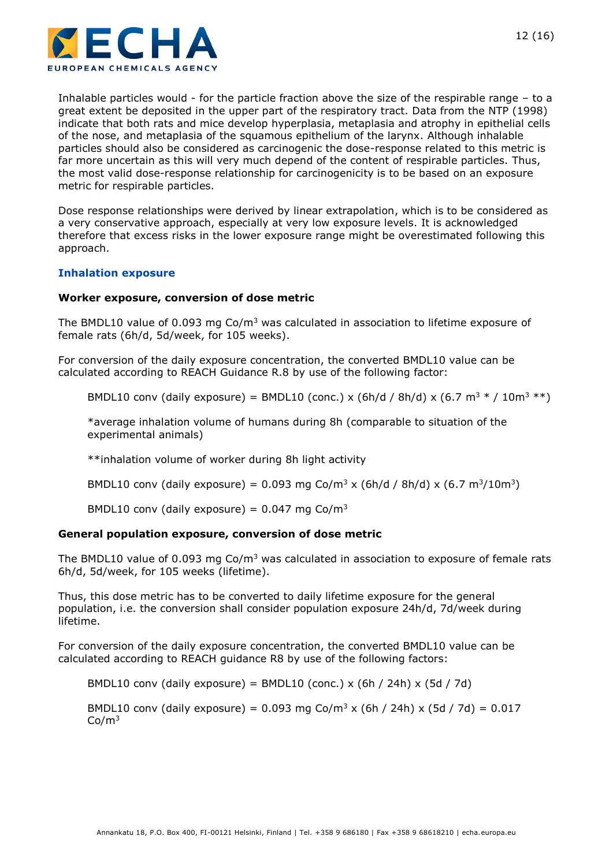

Inhalable particles would - for the particle fraction above the size of the respirable range – to a great extent be deposited in the upper part of the respiratory tract. Data from the NTP (1998) indicate that both rats and mice develop hyperplasia, metaplasia and atrophy in epithelial cells of the nose, and metaplasia of the squamous epithelium of the larynx. Although inhalable particles should also be considered as carcinogenic the dose-response related to this metric is far more uncertain as this will very much depend of the content of respirable particles. Thus, the most valid dose-response relationship for carcinogenicity is to be based on an exposure metric for respirable particles.

Dose response relationships were derived by linear extrapolation, which is to be considered as a very conservative approach, especially at very low exposure levels. It is acknowledged therefore that excess risks in the lower exposure range might be overestimated following this approach.

#### **Inhalation exposure**

#### **Worker exposure, conversion of dose metric**

The BMDL10 value of 0.093 mg  $Co/m<sup>3</sup>$  was calculated in association to lifetime exposure of female rats (6h/d, 5d/week, for 105 weeks).

For conversion of the daily exposure concentration, the converted BMDL10 value can be calculated according to REACH Guidance R.8 by use of the following factor:

BMDL10 conv (daily exposure) = BMDL10 (conc.) x (6h/d / 8h/d) x (6.7 m<sup>3</sup>  $*$  / 10m<sup>3</sup>  $**$ )

\*average inhalation volume of humans during 8h (comparable to situation of the experimental animals)

\*\*inhalation volume of worker during 8h light activity

BMDL10 conv (daily exposure) = 0.093 mg Co/m<sup>3</sup> x (6h/d / 8h/d) x (6.7 m<sup>3</sup>/10m<sup>3</sup>)

BMDL10 conv (daily exposure) =  $0.047$  mg Co/m<sup>3</sup>

#### **General population exposure, conversion of dose metric**

The BMDL10 value of 0.093 mg  $Co/m<sup>3</sup>$  was calculated in association to exposure of female rats 6h/d, 5d/week, for 105 weeks (lifetime).

Thus, this dose metric has to be converted to daily lifetime exposure for the general population, i.e. the conversion shall consider population exposure 24h/d, 7d/week during lifetime.

For conversion of the daily exposure concentration, the converted BMDL10 value can be calculated according to REACH guidance R8 by use of the following factors:

BMDL10 conv (daily exposure) = BMDL10 (conc.) x (6h / 24h) x (5d / 7d)

BMDL10 conv (daily exposure) =  $0.093$  mg Co/m<sup>3</sup> x (6h / 24h) x (5d / 7d) =  $0.017$  $Co/m<sup>3</sup>$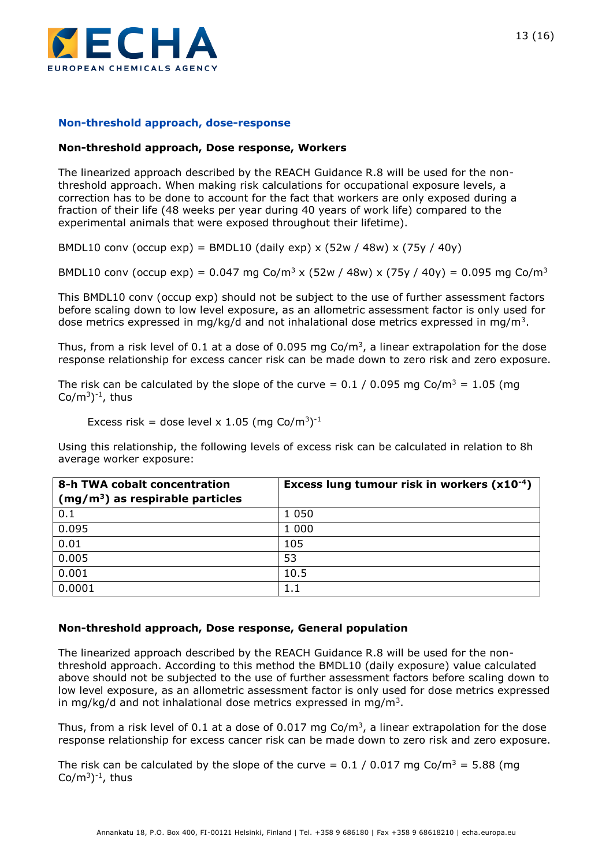

#### **Non-threshold approach, dose-response**

#### **Non-threshold approach, Dose response, Workers**

The linearized approach described by the REACH Guidance R.8 will be used for the nonthreshold approach. When making risk calculations for occupational exposure levels, a correction has to be done to account for the fact that workers are only exposed during a fraction of their life (48 weeks per year during 40 years of work life) compared to the experimental animals that were exposed throughout their lifetime).

BMDL10 conv (occup exp) = BMDL10 (daily exp) x (52w / 48w) x (75y / 40y)

BMDL10 conv (occup exp) =  $0.047$  mg Co/m<sup>3</sup> x (52w / 48w) x (75y / 40y) = 0.095 mg Co/m<sup>3</sup>

This BMDL10 conv (occup exp) should not be subject to the use of further assessment factors before scaling down to low level exposure, as an allometric assessment factor is only used for dose metrics expressed in mg/kg/d and not inhalational dose metrics expressed in mg/m<sup>3</sup>.

Thus, from a risk level of 0.1 at a dose of 0.095 mg Co/m<sup>3</sup>, a linear extrapolation for the dose response relationship for excess cancer risk can be made down to zero risk and zero exposure.

The risk can be calculated by the slope of the curve =  $0.1 / 0.095$  mg Co/m<sup>3</sup> = 1.05 (mg Co/m $^{3})$ <sup>-1</sup>, thus

Excess risk = dose level x 1.05 (mg Co/m<sup>3</sup>)<sup>-1</sup>

Using this relationship, the following levels of excess risk can be calculated in relation to 8h average worker exposure:

| 8-h TWA cobalt concentration      | Excess lung tumour risk in workers (x10 <sup>-4</sup> ) |
|-----------------------------------|---------------------------------------------------------|
| $(mg/m3)$ as respirable particles |                                                         |
| 0.1                               | 1 0 5 0                                                 |
| 0.095                             | 1 0 0 0                                                 |
| 0.01                              | 105                                                     |
| 0.005                             | 53                                                      |
| 0.001                             | 10.5                                                    |
| 0.0001                            | $1.1\,$                                                 |

#### **Non-threshold approach, Dose response, General population**

The linearized approach described by the REACH Guidance R.8 will be used for the nonthreshold approach. According to this method the BMDL10 (daily exposure) value calculated above should not be subjected to the use of further assessment factors before scaling down to low level exposure, as an allometric assessment factor is only used for dose metrics expressed in mg/kg/d and not inhalational dose metrics expressed in mg/m<sup>3</sup>.

Thus, from a risk level of 0.1 at a dose of 0.017 mg Co/m<sup>3</sup>, a linear extrapolation for the dose response relationship for excess cancer risk can be made down to zero risk and zero exposure.

The risk can be calculated by the slope of the curve =  $0.1 / 0.017$  mg Co/m<sup>3</sup> = 5.88 (mg Co/m $^3$ )<sup>-1</sup>, thus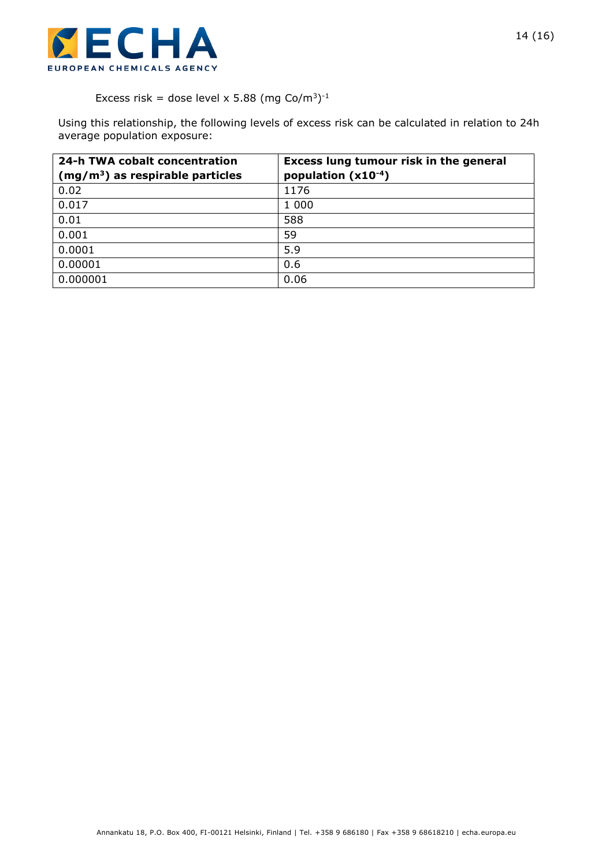

#### Excess risk = dose level x 5.88 (mg Co/m<sup>3</sup>)<sup>-1</sup>

Using this relationship, the following levels of excess risk can be calculated in relation to 24h average population exposure:

| 24-h TWA cobalt concentration     | Excess lung tumour risk in the general |
|-----------------------------------|----------------------------------------|
| $(mg/m3)$ as respirable particles | population $(x10^{-4})$                |
| 0.02                              | 1176                                   |
| 0.017                             | 1 0 0 0                                |
| 0.01                              | 588                                    |
| 0.001                             | 59                                     |
| 0.0001                            | 5.9                                    |
| 0.00001                           | 0.6                                    |
| 0.000001                          | 0.06                                   |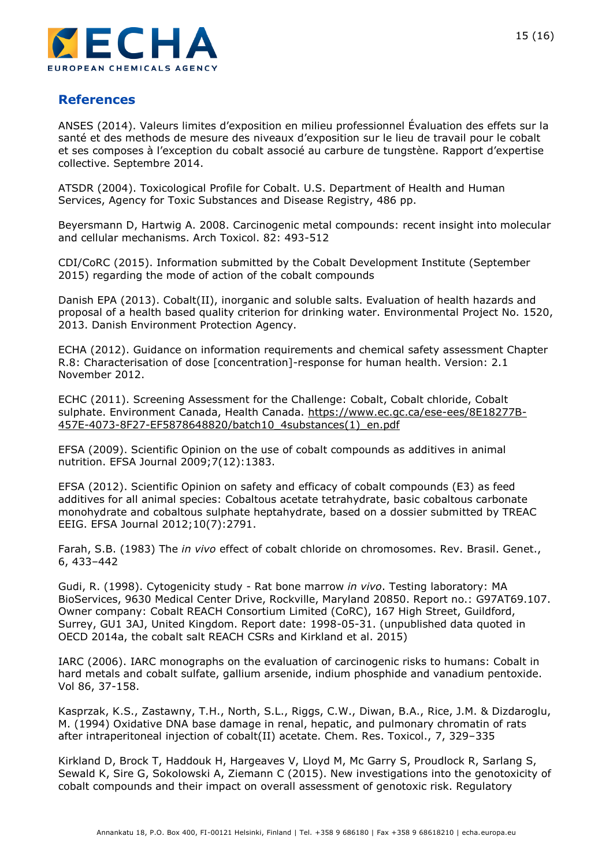

## **References**

ANSES (2014). Valeurs limites d'exposition en milieu professionnel Évaluation des effets sur la santé et des methods de mesure des niveaux d'exposition sur le lieu de travail pour le cobalt et ses composes à l'exception du cobalt associé au carbure de tungstène. Rapport d'expertise collective. Septembre 2014.

ATSDR (2004). Toxicological Profile for Cobalt. U.S. Department of Health and Human Services, Agency for Toxic Substances and Disease Registry, 486 pp.

Beyersmann D, Hartwig A. 2008. Carcinogenic metal compounds: recent insight into molecular and cellular mechanisms. Arch Toxicol. 82: 493-512

CDI/CoRC (2015). Information submitted by the Cobalt Development Institute (September 2015) regarding the mode of action of the cobalt compounds

Danish EPA (2013). Cobalt(II), inorganic and soluble salts. Evaluation of health hazards and proposal of a health based quality criterion for drinking water. Environmental Project No. 1520, 2013. Danish Environment Protection Agency.

ECHA (2012). Guidance on information requirements and chemical safety assessment Chapter R.8: Characterisation of dose [concentration]-response for human health. Version: 2.1 November 2012.

ECHC (2011). Screening Assessment for the Challenge: Cobalt, Cobalt chloride, Cobalt sulphate. Environment Canada, Health Canada. [https://www.ec.gc.ca/ese-ees/8E18277B-](https://www.ec.gc.ca/ese-ees/8E18277B-457E-4073-8F27-EF5878648820/batch10_4substances(1)_en.pdf)[457E-4073-8F27-EF5878648820/batch10\\_4substances\(1\)\\_en.pdf](https://www.ec.gc.ca/ese-ees/8E18277B-457E-4073-8F27-EF5878648820/batch10_4substances(1)_en.pdf)

EFSA (2009). Scientific Opinion on the use of cobalt compounds as additives in animal nutrition. EFSA Journal 2009;7(12):1383.

EFSA (2012). Scientific Opinion on safety and efficacy of cobalt compounds (E3) as feed additives for all animal species: Cobaltous acetate tetrahydrate, basic cobaltous carbonate monohydrate and cobaltous sulphate heptahydrate, based on a dossier submitted by TREAC EEIG. EFSA Journal 2012;10(7):2791.

Farah, S.B. (1983) The *in vivo* effect of cobalt chloride on chromosomes. Rev. Brasil. Genet., 6, 433–442

Gudi, R. (1998). Cytogenicity study - Rat bone marrow *in vivo*. Testing laboratory: MA BioServices, 9630 Medical Center Drive, Rockville, Maryland 20850. Report no.: G97AT69.107. Owner company: Cobalt REACH Consortium Limited (CoRC), 167 High Street, Guildford, Surrey, GU1 3AJ, United Kingdom. Report date: 1998-05-31. (unpublished data quoted in OECD 2014a, the cobalt salt REACH CSRs and Kirkland et al. 2015)

IARC (2006). IARC monographs on the evaluation of carcinogenic risks to humans: Cobalt in hard metals and cobalt sulfate, gallium arsenide, indium phosphide and vanadium pentoxide. Vol 86, 37-158.

Kasprzak, K.S., Zastawny, T.H., North, S.L., Riggs, C.W., Diwan, B.A., Rice, J.M. & Dizdaroglu, M. (1994) Oxidative DNA base damage in renal, hepatic, and pulmonary chromatin of rats after intraperitoneal injection of cobalt(II) acetate. Chem. Res. Toxicol., 7, 329–335

Kirkland D, Brock T, Haddouk H, Hargeaves V, Lloyd M, Mc Garry S, Proudlock R, Sarlang S, Sewald K, Sire G, Sokolowski A, Ziemann C (2015). New investigations into the genotoxicity of cobalt compounds and their impact on overall assessment of genotoxic risk. Regulatory